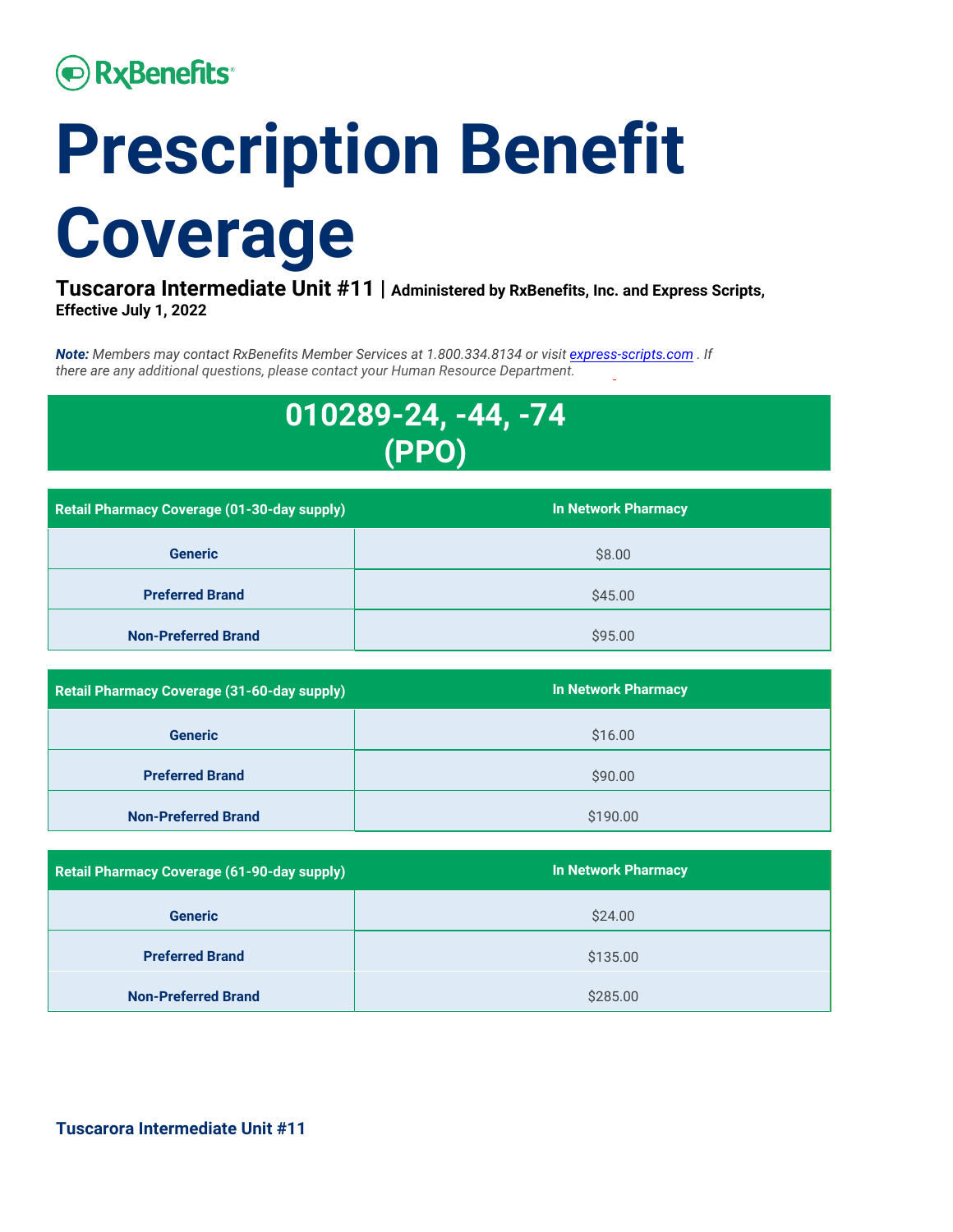# **• RxBenefits**

# **Prescription Benefit Coverage**

**Tuscarora Intermediate Unit #11 | Administered by RxBenefits, Inc. and Express Scripts, Effective July 1, 2022** 

*Note: Members may contact RxBenefits Member Services at 1.800.334.8134 or visit [express-scripts.com](http://express-scripts.com/) . If there are any additional questions, please contact your Human Resource Department.*



| <b>Retail Pharmacy Coverage (01-30-day supply)</b> | <b>In Network Pharmacy</b> |
|----------------------------------------------------|----------------------------|
| <b>Generic</b>                                     | \$8.00                     |
| <b>Preferred Brand</b>                             | \$45.00                    |
| <b>Non-Preferred Brand</b>                         | \$95.00                    |

| Retail Pharmacy Coverage (31-60-day supply) | <b>In Network Pharmacy</b> |
|---------------------------------------------|----------------------------|
| <b>Generic</b>                              | \$16.00                    |
| <b>Preferred Brand</b>                      | \$90.00                    |
| <b>Non-Preferred Brand</b>                  | \$190.00                   |

| Retail Pharmacy Coverage (61-90-day supply) | <b>In Network Pharmacy</b> |
|---------------------------------------------|----------------------------|
| <b>Generic</b>                              | \$24.00                    |
| <b>Preferred Brand</b>                      | \$135.00                   |
| <b>Non-Preferred Brand</b>                  | \$285.00                   |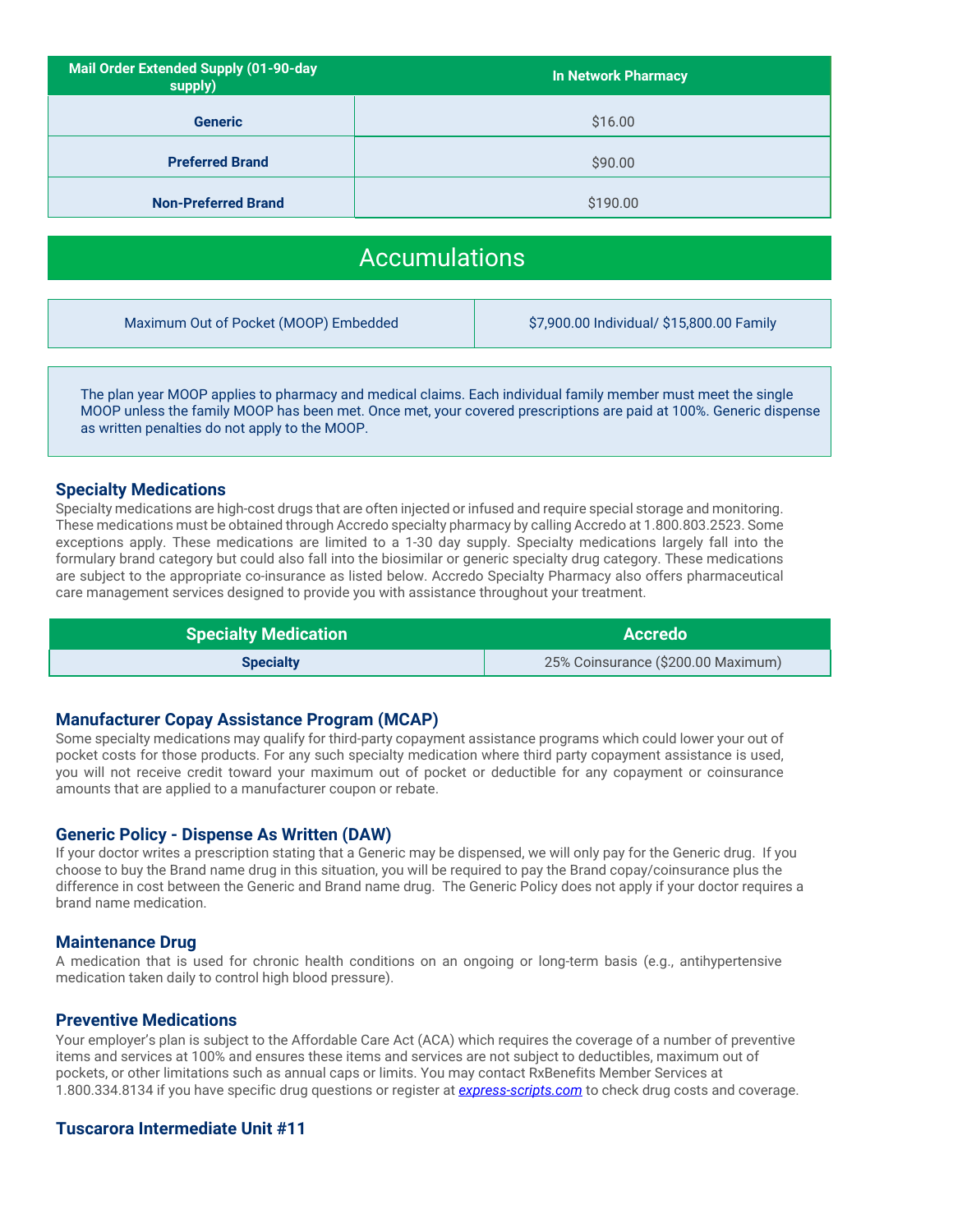| Mail Order Extended Supply (01-90-day<br>supply) | <b>In Network Pharmacy</b> |
|--------------------------------------------------|----------------------------|
| <b>Generic</b>                                   | \$16.00                    |
| <b>Preferred Brand</b>                           | \$90.00                    |
| <b>Non-Preferred Brand</b>                       | \$190.00                   |

## Accumulations

Maximum Out of Pocket (MOOP) Embedded \$7,900.00 Individual/ \$15,800.00 Family

The plan year MOOP applies to pharmacy and medical claims. Each individual family member must meet the single MOOP unless the family MOOP has been met. Once met, your covered prescriptions are paid at 100%. Generic dispense as written penalties do not apply to the MOOP.

#### **Specialty Medications**

Specialty medications are high-cost drugs that are often injected or infused and require special storage and monitoring. These medications must be obtained through Accredo specialty pharmacy by calling Accredo at 1.800.803.2523. Some exceptions apply. These medications are limited to a 1-30 day supply. Specialty medications largely fall into the formulary brand category but could also fall into the biosimilar or generic specialty drug category. These medications are subject to the appropriate co-insurance as listed below. Accredo Specialty Pharmacy also offers pharmaceutical care management services designed to provide you with assistance throughout your treatment.

| <b>Specialty Medication</b> | <b>Accredo</b>                     |
|-----------------------------|------------------------------------|
| <b>Specialty</b>            | 25% Coinsurance (\$200.00 Maximum) |

#### **Manufacturer Copay Assistance Program (MCAP)**

Some specialty medications may qualify for third-party copayment assistance programs which could lower your out of pocket costs for those products. For any such specialty medication where third party copayment assistance is used, you will not receive credit toward your maximum out of pocket or deductible for any copayment or coinsurance amounts that are applied to a manufacturer coupon or rebate.

#### **Generic Policy - Dispense As Written (DAW)**

If your doctor writes a prescription stating that a Generic may be dispensed, we will only pay for the Generic drug. If you choose to buy the Brand name drug in this situation, you will be required to pay the Brand copay/coinsurance plus the difference in cost between the Generic and Brand name drug. The Generic Policy does not apply if your doctor requires a brand name medication.

#### **Maintenance Drug**

A medication that is used for chronic health conditions on an ongoing or long-term basis (e.g., antihypertensive medication taken daily to control high blood pressure).

#### **Preventive Medications**

Your employer's plan is subject to the Affordable Care Act (ACA) which requires the coverage of a number of preventive items and services at 100% and ensures these items and services are not subject to deductibles, maximum out of pockets, or other limitations such as annual caps or limits. You may contact RxBenefits Member Services at 1.800.334.8134 if you have specific drug questions or register at *[express-scripts.com](http://express-scripts.com/)* to check drug costs and coverage.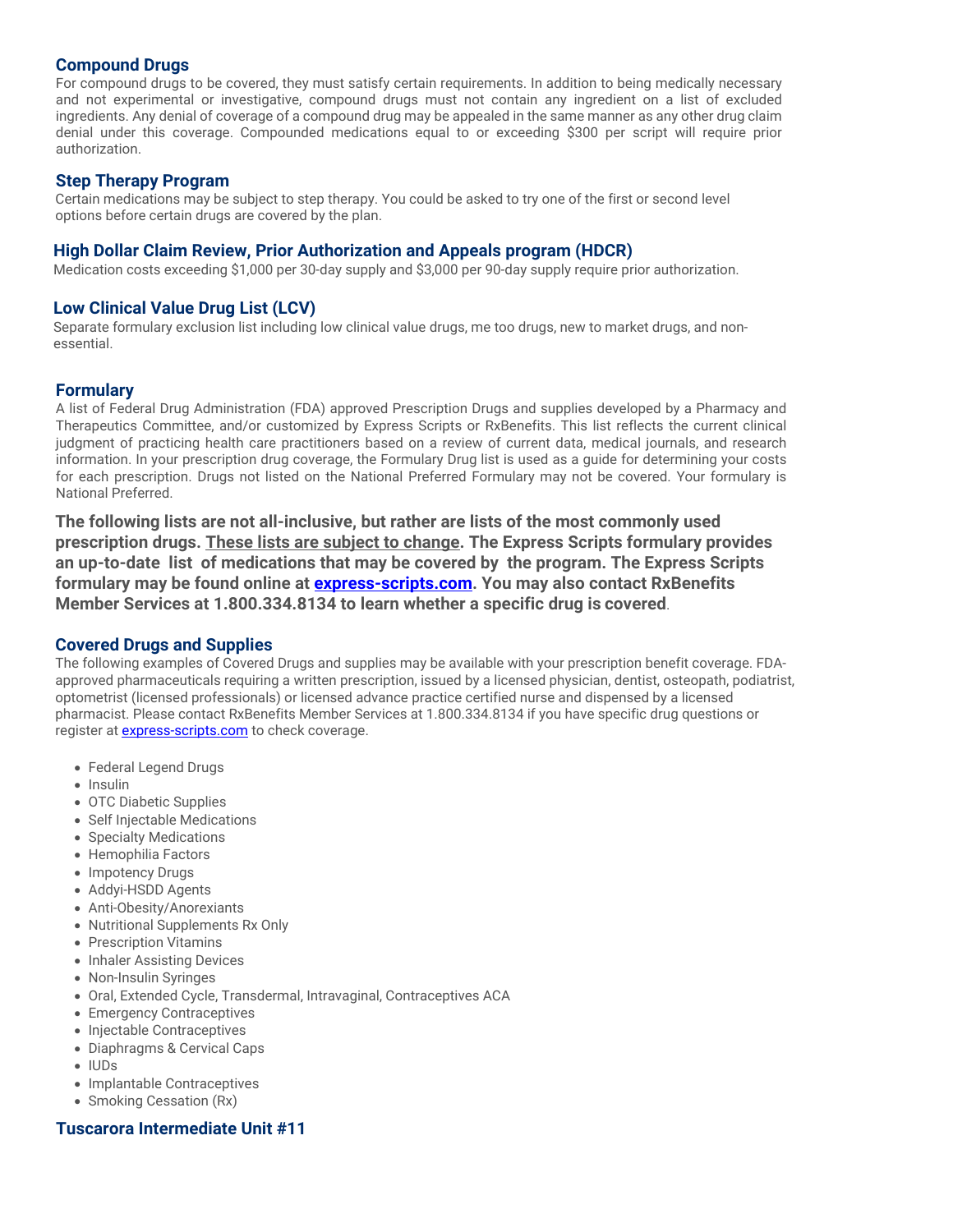#### **Compound Drugs**

For compound drugs to be covered, they must satisfy certain requirements. In addition to being medically necessary and not experimental or investigative, compound drugs must not contain any ingredient on a list of excluded ingredients. Any denial of coverage of a compound drug may be appealed in the same manner as any other drug claim denial under this coverage. Compounded medications equal to or exceeding \$300 per script will require prior authorization.

#### **Step Therapy Program**

Certain medications may be subject to step therapy. You could be asked to try one of the first or second level options before certain drugs are covered by the plan.

#### **High Dollar Claim Review, Prior Authorization and Appeals program (HDCR)**

Medication costs exceeding \$1,000 per 30-day supply and \$3,000 per 90-day supply require prior authorization.

#### **Low Clinical Value Drug List (LCV)**

Separate formulary exclusion list including low clinical value drugs, me too drugs, new to market drugs, and nonessential.

#### **Formulary**

A list of Federal Drug Administration (FDA) approved Prescription Drugs and supplies developed by a Pharmacy and Therapeutics Committee, and/or customized by Express Scripts or RxBenefits. This list reflects the current clinical judgment of practicing health care practitioners based on a review of current data, medical journals, and research information. In your prescription drug coverage, the Formulary Drug list is used as a guide for determining your costs for each prescription. Drugs not listed on the National Preferred Formulary may not be covered. Your formulary is National Preferred.

**The following lists are not all-inclusive, but rather are lists of the most commonly used prescription drugs. These lists are subject to change. The Express Scripts formulary provides an up-to-date list of medications that may be covered by the program. The Express Scripts formulary may be found online at [express-scripts.com.](http://express-scripts.com/) You may also contact RxBenefits Member Services at 1.800.334.8134 to learn whether a specific drug is covered**.

#### **Covered Drugs and Supplies**

The following examples of Covered Drugs and supplies may be available with your prescription benefit coverage. FDAapproved pharmaceuticals requiring a written prescription, issued by a licensed physician, dentist, osteopath, podiatrist, optometrist (licensed professionals) or licensed advance practice certified nurse and dispensed by a licensed pharmacist. Please contact RxBenefits Member Services at 1.800.334.8134 if you have specific drug questions or register at **express-scripts.com** to check coverage.

- Federal Legend Drugs
- Insulin
- OTC Diabetic Supplies
- Self Injectable Medications
- Specialty Medications
- Hemophilia Factors
- Impotency Drugs
- Addyi-HSDD Agents
- Anti-Obesity/Anorexiants
- Nutritional Supplements Rx Only
- Prescription Vitamins
- Inhaler Assisting Devices
- Non-Insulin Syringes
- Oral, Extended Cycle, Transdermal, Intravaginal, Contraceptives ACA
- Emergency Contraceptives
- Injectable Contraceptives
- Diaphragms & Cervical Caps
- IUDs
- Implantable Contraceptives
- Smoking Cessation (Rx)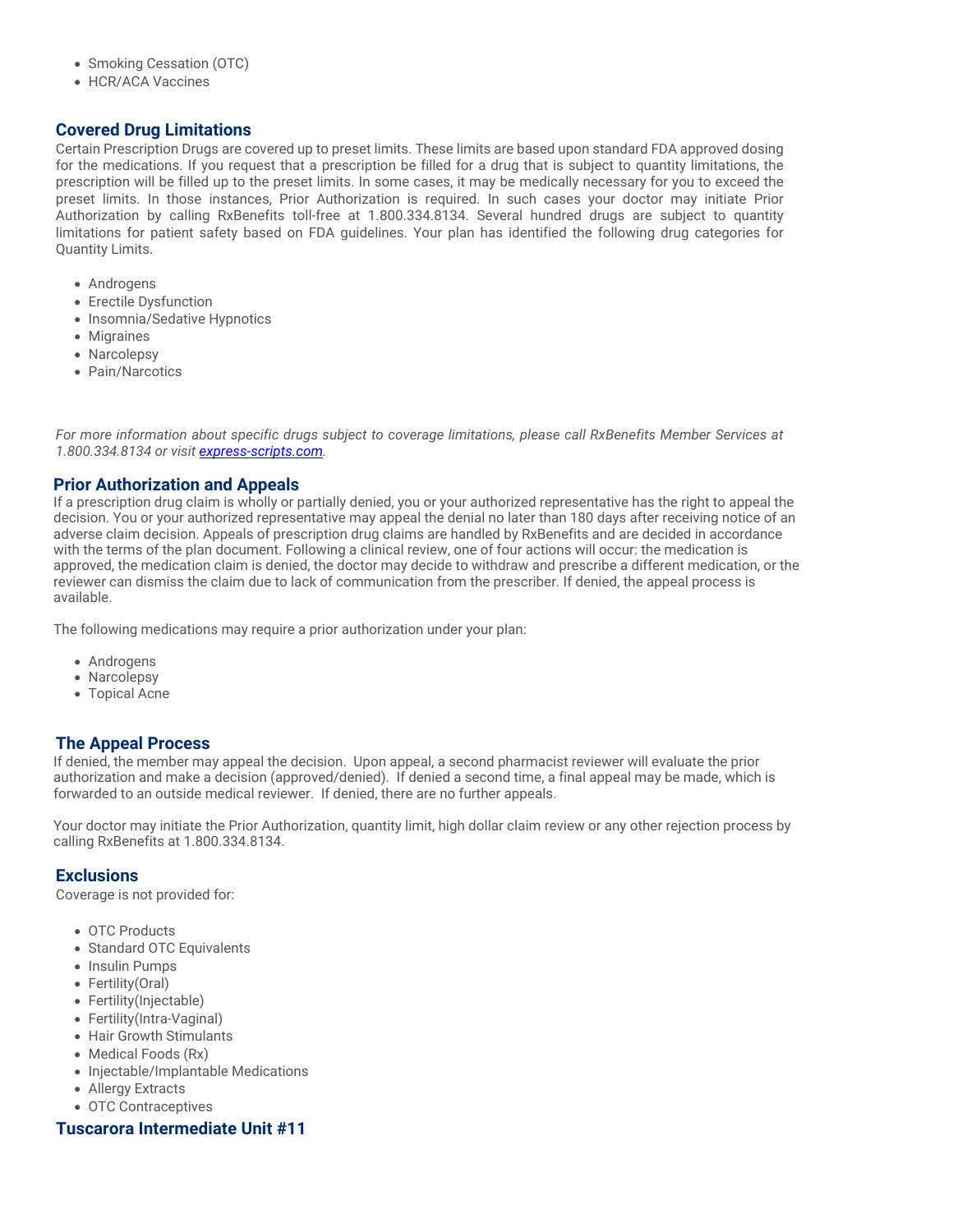- Smoking Cessation (OTC)
- HCR/ACA Vaccines

#### **Covered Drug Limitations**

Certain Prescription Drugs are covered up to preset limits. These limits are based upon standard FDA approved dosing for the medications. If you request that a prescription be filled for a drug that is subject to quantity limitations, the prescription will be filled up to the preset limits. In some cases, it may be medically necessary for you to exceed the preset limits. In those instances, Prior Authorization is required. In such cases your doctor may initiate Prior Authorization by calling RxBenefits toll-free at 1.800.334.8134. Several hundred drugs are subject to quantity limitations for patient safety based on FDA guidelines. Your plan has identified the following drug categories for Quantity Limits.

- Androgens
- Erectile Dysfunction
- Insomnia/Sedative Hypnotics
- Migraines
- Narcolepsy
- Pain/Narcotics

*For more information about specific drugs subject to coverage limitations, please call RxBenefits Member Services at 1.800.334.8134 or visit [express-scripts.com.](http://express-scripts.com/)*

#### **Prior Authorization and Appeals**

If a prescription drug claim is wholly or partially denied, you or your authorized representative has the right to appeal the decision. You or your authorized representative may appeal the denial no later than 180 days after receiving notice of an adverse claim decision. Appeals of prescription drug claims are handled by RxBenefits and are decided in accordance with the terms of the plan document. Following a clinical review, one of four actions will occur: the medication is approved, the medication claim is denied, the doctor may decide to withdraw and prescribe a different medication, or the reviewer can dismiss the claim due to lack of communication from the prescriber. If denied, the appeal process is available.

The following medications may require a prior authorization under your plan:

- Androgens
- Narcolepsy
- Topical Acne

#### **The Appeal Process**

If denied, the member may appeal the decision. Upon appeal, a second pharmacist reviewer will evaluate the prior authorization and make a decision (approved/denied). If denied a second time, a final appeal may be made, which is forwarded to an outside medical reviewer. If denied, there are no further appeals.

Your doctor may initiate the Prior Authorization, quantity limit, high dollar claim review or any other rejection process by calling RxBenefits at 1.800.334.8134.

#### **Exclusions**

Coverage is not provided for:

- OTC Products
- Standard OTC Equivalents
- Insulin Pumps
- Fertility(Oral)
- Fertility(Injectable)
- Fertility(Intra-Vaginal)
- Hair Growth Stimulants
- Medical Foods (Rx)
- Injectable/Implantable Medications
- Allergy Extracts
- OTC Contraceptives